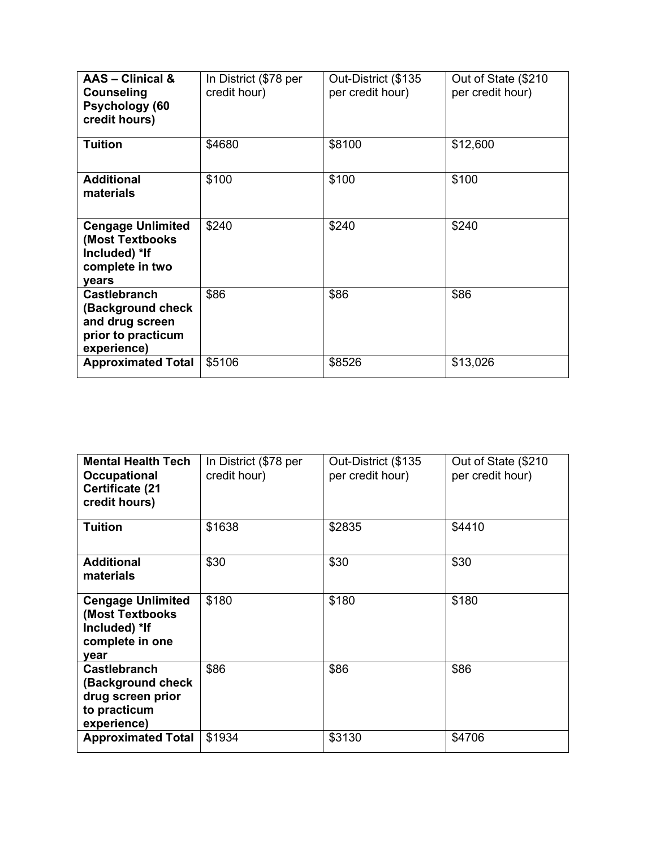| AAS - Clinical &<br><b>Counseling</b><br>Psychology (60<br>credit hours)                         | In District (\$78 per<br>credit hour) | Out-District (\$135<br>per credit hour) | Out of State (\$210<br>per credit hour) |
|--------------------------------------------------------------------------------------------------|---------------------------------------|-----------------------------------------|-----------------------------------------|
| <b>Tuition</b>                                                                                   | \$4680                                | \$8100                                  | \$12,600                                |
| <b>Additional</b><br>materials                                                                   | \$100                                 | \$100                                   | \$100                                   |
| <b>Cengage Unlimited</b><br>(Most Textbooks<br>Included) *If<br>complete in two<br>vears         | \$240                                 | \$240                                   | \$240                                   |
| <b>Castlebranch</b><br>(Background check<br>and drug screen<br>prior to practicum<br>experience) | \$86                                  | \$86                                    | \$86                                    |
| <b>Approximated Total</b>                                                                        | \$5106                                | \$8526                                  | \$13,026                                |

| <b>Mental Health Tech</b><br>Occupational<br><b>Certificate (21</b><br>credit hours)         | In District (\$78 per<br>credit hour) | Out-District (\$135<br>per credit hour) | Out of State (\$210<br>per credit hour) |
|----------------------------------------------------------------------------------------------|---------------------------------------|-----------------------------------------|-----------------------------------------|
| <b>Tuition</b>                                                                               | \$1638                                | \$2835                                  | \$4410                                  |
| <b>Additional</b><br>materials                                                               | \$30                                  | \$30                                    | \$30                                    |
| <b>Cengage Unlimited</b><br>(Most Textbooks<br>Included) *If<br>complete in one<br>year      | \$180                                 | \$180                                   | \$180                                   |
| <b>Castlebranch</b><br>(Background check<br>drug screen prior<br>to practicum<br>experience) | \$86                                  | \$86                                    | \$86                                    |
| <b>Approximated Total</b>                                                                    | \$1934                                | \$3130                                  | \$4706                                  |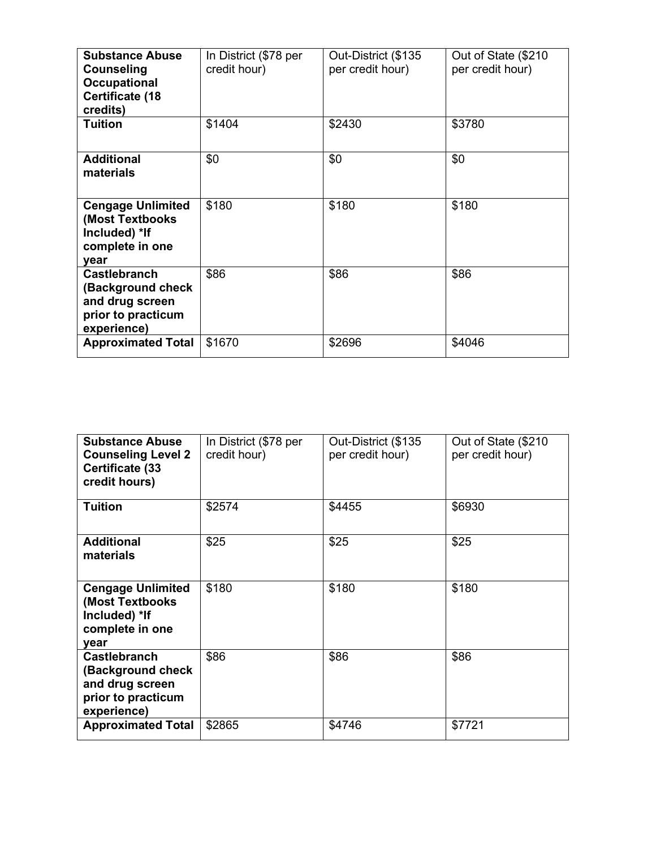| <b>Substance Abuse</b><br>Counseling<br><b>Occupational</b><br><b>Certificate (18</b><br>credits) | In District (\$78 per<br>credit hour) | Out-District (\$135<br>per credit hour) | Out of State (\$210<br>per credit hour) |
|---------------------------------------------------------------------------------------------------|---------------------------------------|-----------------------------------------|-----------------------------------------|
| <b>Tuition</b>                                                                                    | \$1404                                | \$2430                                  | \$3780                                  |
| <b>Additional</b><br>materials                                                                    | \$0                                   | \$0                                     | \$0                                     |
| <b>Cengage Unlimited</b><br>(Most Textbooks<br>Included) *If<br>complete in one<br>vear           | \$180                                 | \$180                                   | \$180                                   |
| <b>Castlebranch</b><br>(Background check<br>and drug screen<br>prior to practicum<br>experience)  | \$86                                  | \$86                                    | \$86                                    |
| <b>Approximated Total</b>                                                                         | \$1670                                | \$2696                                  | \$4046                                  |

| <b>Substance Abuse</b><br><b>Counseling Level 2</b><br><b>Certificate (33</b><br>credit hours)    | In District (\$78 per<br>credit hour) | Out-District (\$135<br>per credit hour) | Out of State (\$210<br>per credit hour) |
|---------------------------------------------------------------------------------------------------|---------------------------------------|-----------------------------------------|-----------------------------------------|
| <b>Tuition</b>                                                                                    | \$2574                                | \$4455                                  | \$6930                                  |
| <b>Additional</b><br>materials                                                                    | \$25                                  | \$25                                    | \$25                                    |
| <b>Cengage Unlimited</b><br>(Most Textbooks)<br>Included) *If<br>complete in one<br>year          | \$180                                 | \$180                                   | \$180                                   |
| <b>Castlebranch</b><br>(Background check)<br>and drug screen<br>prior to practicum<br>experience) | \$86                                  | \$86                                    | \$86                                    |
| <b>Approximated Total</b>                                                                         | \$2865                                | \$4746                                  | \$7721                                  |